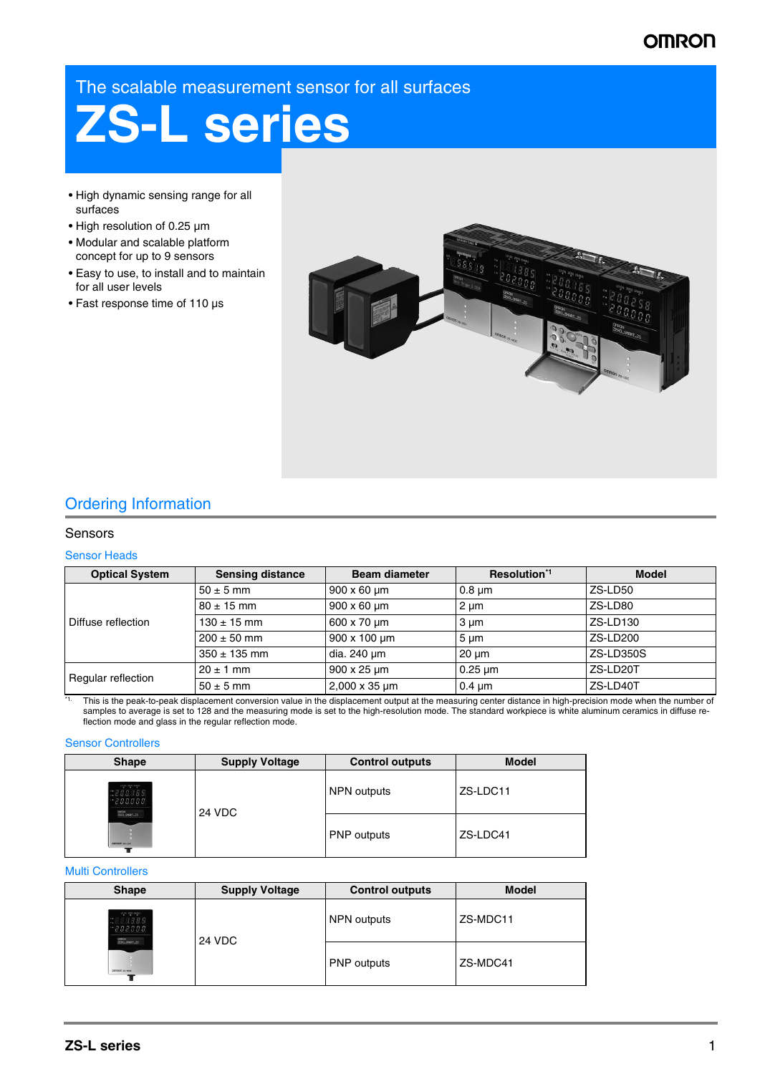## **OMRON**

The scalable measurement sensor for all surfaces

# **ZS-L series**

- High dynamic sensing range for all surfaces
- High resolution of 0.25 µm
- Modular and scalable platform concept for up to 9 sensors
- Easy to use, to install and to maintain for all user levels
- Fast response time of 110 µs



## Ordering Information

## Sensors

#### Sensor Heads

| <b>Optical System</b> | <b>Sensing distance</b> | <b>Beam diameter</b>  | Resolution <sup>1</sup> | <b>Model</b> |
|-----------------------|-------------------------|-----------------------|-------------------------|--------------|
|                       | $50 \pm 5$ mm           | $900 \times 60 \mu m$ | $0.8 \mu m$             | ZS-LD50      |
|                       | $80 \pm 15$ mm          | $900 \times 60 \mu m$ | 2 um                    | ZS-LD80      |
| l Diffuse reflection  | $130 \pm 15$ mm         | 600 x 70 um           | 3 um                    | ZS-LD130     |
|                       | $200 \pm 50$ mm         | 900 x 100 um          | $5 \mu m$               | ZS-LD200     |
|                       | $350 \pm 135$ mm        | dia. 240 um           | $20 \mu m$              | ZS-LD350S    |
| Regular reflection    | $20 \pm 1$ mm           | 900 x 25 um           | $0.25 \mu m$            | ZS-LD20T     |
|                       | $50 \pm 5$ mm           | 2,000 x 35 um         | $0.4 \mu m$             | ZS-LD40T     |

<sup>11</sup> This is the peak-to-peak displacement conversion value in the displacement output at the measuring center distance in high-precision mode when the number of samples to average is set to 128 and the measuring mode is set to the high-resolution mode. The standard workpiece is white aluminum ceramics in diffuse reflection mode and glass in the regular reflection mode.

#### Sensor Controllers

| <b>Shape</b>                                                       | <b>Supply Voltage</b> | <b>Control outputs</b> | <b>Model</b> |
|--------------------------------------------------------------------|-----------------------|------------------------|--------------|
| LD ON 2530 SWALE<br>2888885<br>$-888888$<br>OMRON<br>20RO_SMART_25 | 24 VDC                | NPN outputs            | ZS-LDC11     |
| $\ddot{\cdot}$<br>omton zs-Loc                                     |                       | <b>PNP</b> outputs     | ZS-LDC41     |

## Multi Controllers

| <b>Shape</b>                                                 | <b>Supply Voltage</b> | <b>Control outputs</b> | <b>Model</b> |
|--------------------------------------------------------------|-----------------------|------------------------|--------------|
| LD ON 2010 DWALE<br>18888<br>888888<br>DIRON<br>2010_SNR1_25 | 24 VDC                | NPN outputs            | ZS-MDC11     |
| Official zi-Moc                                              |                       | <b>PNP</b> outputs     | ZS-MDC41     |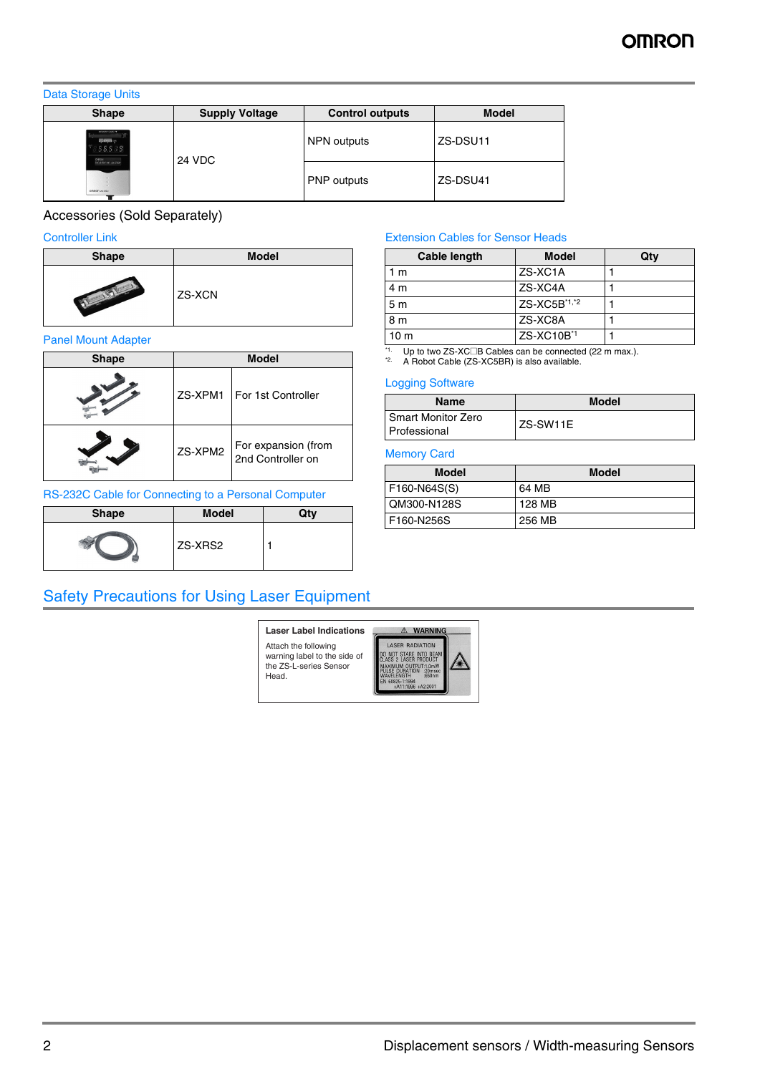## Data Storage Units

| ຼ<br><b>Shape</b>                                          | <b>Supply Voltage</b> | <b>Control outputs</b> | <b>Model</b> |
|------------------------------------------------------------|-----------------------|------------------------|--------------|
| <b>ETHERNIA</b> OR<br>88888<br>OPRON<br>DIGAUST 29 41 STOP | 24 VDC                | NPN outputs            | ZS-DSU11     |
| ue-at nonno                                                |                       | PNP outputs            | ZS-DSU41     |

## Accessories (Sold Separately)

## Controller Link

| <b>Shape</b> | <b>Model</b> |
|--------------|--------------|
|              | ZS-XCN       |

## Panel Mount Adapter

| <b>Shape</b> |         | <b>Model</b>                             |
|--------------|---------|------------------------------------------|
|              | ZS-XPM1 | For 1st Controller                       |
|              | ZS-XPM2 | For expansion (from<br>2nd Controller on |

## RS-232C Cable for Connecting to a Personal Computer

| <b>Shape</b> | <b>Model</b> | Otv |
|--------------|--------------|-----|
|              | ZS-XRS2      |     |

## Safety Precautions for Using Laser Equipment

#### **Laser Label Indications**A WARNING LASER RADIATION Attach the following warning label to the side of LASER MADIATION<br>DC NOT STARE INTO BEAM<br>CLASS 2 LASER PRODUCT<br>MAXIMUM OUTPUT:1.0mW<br>PULSE DURATION 220msec<br>EN 60825-1:1994 +A11:1996 +A2:2001 the ZS-L-series Sensor Head.

## Extension Cables for Sensor Heads

| Cable length   | <b>Model</b>           | Qty |
|----------------|------------------------|-----|
| m              | ZS-XC1A                |     |
| 4 m            | ZS-XC4A                |     |
| 5 <sub>m</sub> | ZS-XC5B*1,*2           |     |
| 8 <sub>m</sub> | ZS-XC8A                |     |
| 10 m           | ZS-XC10B <sup>*1</sup> |     |

<span id="page-1-0"></span>\*<sup>1.</sup> Up to two ZS-XC□B Cables can be connected (22 m max.).<br><sup>\*2.</sup> A Robot Cable (ZS-XC5BR) is also available.

## Logging Software

| Name                                   | <b>Model</b> |
|----------------------------------------|--------------|
| l Smart Monitor Zero<br>l Professional | ZS-SW11E     |

## Memory Card

/\*

| <b>Model</b>   | <b>Model</b> |
|----------------|--------------|
| $F160-N64S(S)$ | 64 MB        |
| QM300-N128S    | 128 MB       |
| F160-N256S     | 256 MB       |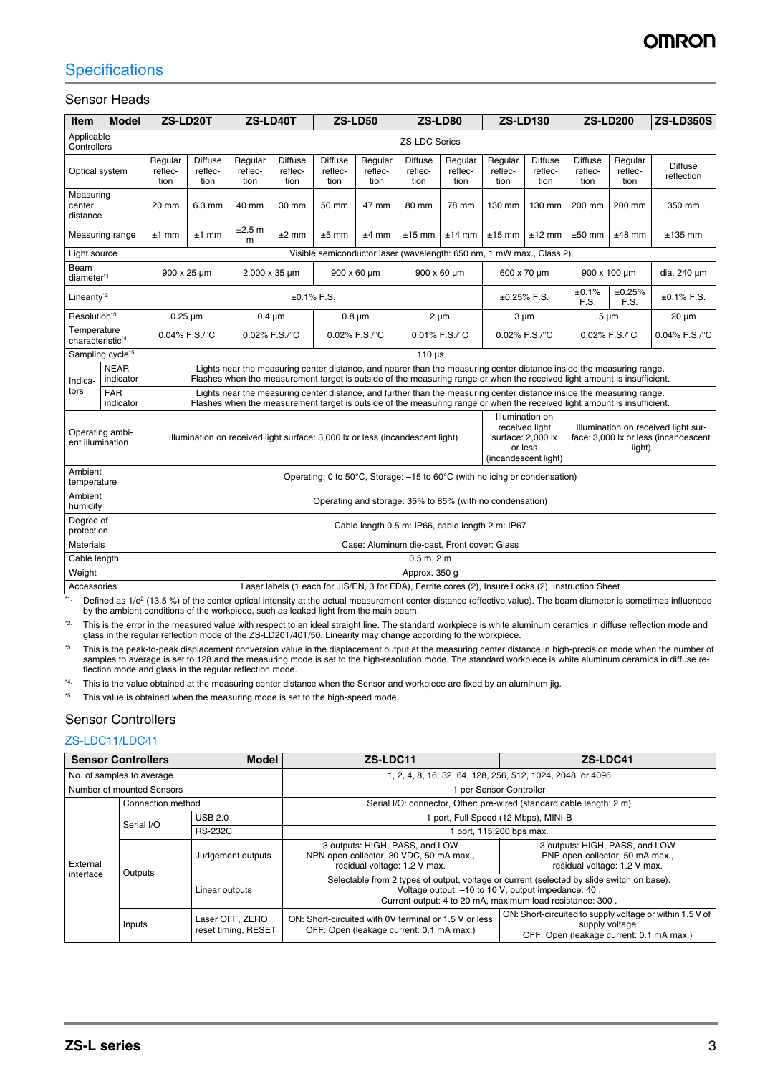## **Specifications**

## Sensor Heads

| <b>Item</b>                                 | <b>Model</b>                                                                                                         | ZS-LD20T                                                                                            |                                   | ZS-LD40T<br><b>ZS-LD50</b>                                                                                                                                                                                                                        |                                   |                                                                                           |                            |                                                                      | <b>ZS-LD80</b>                                                              | <b>ZS-LD130</b><br><b>ZS-LD200</b> |                                   | <b>ZS-LD350S</b>                  |                            |                              |
|---------------------------------------------|----------------------------------------------------------------------------------------------------------------------|-----------------------------------------------------------------------------------------------------|-----------------------------------|---------------------------------------------------------------------------------------------------------------------------------------------------------------------------------------------------------------------------------------------------|-----------------------------------|-------------------------------------------------------------------------------------------|----------------------------|----------------------------------------------------------------------|-----------------------------------------------------------------------------|------------------------------------|-----------------------------------|-----------------------------------|----------------------------|------------------------------|
| Applicable<br>Controllers                   |                                                                                                                      |                                                                                                     |                                   | <b>ZS-LDC Series</b>                                                                                                                                                                                                                              |                                   |                                                                                           |                            |                                                                      |                                                                             |                                    |                                   |                                   |                            |                              |
| Optical system                              |                                                                                                                      | Regular<br>reflec-<br>tion                                                                          | <b>Diffuse</b><br>reflec-<br>tion | Regular<br>reflec-<br>tion                                                                                                                                                                                                                        | <b>Diffuse</b><br>reflec-<br>tion | <b>Diffuse</b><br>reflec-<br>tion                                                         | Regular<br>reflec-<br>tion | <b>Diffuse</b><br>reflec-<br>tion                                    | Regular<br>reflec-<br>tion                                                  | Regular<br>reflec-<br>tion         | <b>Diffuse</b><br>reflec-<br>tion | <b>Diffuse</b><br>reflec-<br>tion | Regular<br>reflec-<br>tion | <b>Diffuse</b><br>reflection |
| Measuring<br>center<br>distance             |                                                                                                                      | 20 mm                                                                                               | 6.3 mm                            | 40 mm                                                                                                                                                                                                                                             | 30 mm                             | 50 mm                                                                                     | 47 mm                      | 80 mm                                                                | 78 mm                                                                       | 130 mm                             | 130 mm                            | 200 mm                            | 200 mm                     | 350 mm                       |
|                                             | Measuring range                                                                                                      | $±1$ mm                                                                                             | $±1$ mm                           | ±2.5 m<br>m                                                                                                                                                                                                                                       | $±2$ mm                           | $±5$ mm                                                                                   | $±4$ mm                    | $±15$ mm                                                             | $±14$ mm                                                                    | $±15$ mm                           | $±12$ mm                          | $±50$ mm                          | $±48$ mm                   | $±135$ mm                    |
| Light source                                |                                                                                                                      |                                                                                                     |                                   |                                                                                                                                                                                                                                                   |                                   |                                                                                           |                            | Visible semiconductor laser (wavelength: 650 nm, 1 mW max., Class 2) |                                                                             |                                    |                                   |                                   |                            |                              |
| Beam<br>diameter <sup>*1</sup>              |                                                                                                                      |                                                                                                     | 900 x 25 um                       | 2,000 x 35 um                                                                                                                                                                                                                                     |                                   | 900 x 60 um                                                                               |                            |                                                                      | 900 x 60 um                                                                 | 600 x 70 um                        |                                   | 900 x 100 µm                      |                            | dia. 240 um                  |
| Linearity <sup>*2</sup>                     |                                                                                                                      |                                                                                                     |                                   |                                                                                                                                                                                                                                                   | $±0.1\%$ F.S.                     |                                                                                           |                            |                                                                      |                                                                             | $±0.25\%$ F.S.                     |                                   | ±0.1%<br>F.S.                     | ±0.25%<br>F.S.             | $±0.1\%$ F.S.                |
| Resolution <sup>*3</sup>                    |                                                                                                                      | $0.25 \mu m$                                                                                        |                                   | $0.4 \mu m$                                                                                                                                                                                                                                       |                                   |                                                                                           | $0.8 \mu m$                | $2 \mu m$                                                            |                                                                             | $3 \mu m$                          |                                   | $5 \mu m$                         |                            | $20 \mu m$                   |
| Temperature<br>characteristic <sup>*4</sup> |                                                                                                                      |                                                                                                     | 0.04% F.S./°C                     | 0.02% F.S./°C                                                                                                                                                                                                                                     |                                   |                                                                                           | 0.02% F.S./°C              |                                                                      | 0.01% F.S./°C                                                               | 0.02% F.S./°C                      |                                   | 0.02% F.S./°C                     |                            | 0.04% F.S./°C                |
|                                             | Sampling cycle <sup>*5</sup>                                                                                         |                                                                                                     |                                   |                                                                                                                                                                                                                                                   |                                   |                                                                                           |                            | $110 \mu s$                                                          |                                                                             |                                    |                                   |                                   |                            |                              |
| Indica-                                     | <b>NEAR</b><br>indicator                                                                                             |                                                                                                     |                                   | Lights near the measuring center distance, and nearer than the measuring center distance inside the measuring range.<br>Flashes when the measurement target is outside of the measuring range or when the received light amount is insufficient.  |                                   |                                                                                           |                            |                                                                      |                                                                             |                                    |                                   |                                   |                            |                              |
| tors                                        | <b>FAR</b><br>indicator                                                                                              |                                                                                                     |                                   | Lights near the measuring center distance, and further than the measuring center distance inside the measuring range.<br>Flashes when the measurement target is outside of the measuring range or when the received light amount is insufficient. |                                   |                                                                                           |                            |                                                                      |                                                                             |                                    |                                   |                                   |                            |                              |
|                                             | Operating ambi-<br>Illumination on received light surface: 3,000 lx or less (incandescent light)<br>ent illumination |                                                                                                     |                                   |                                                                                                                                                                                                                                                   |                                   | Illumination on<br>received light<br>surface: 2,000 lx<br>or less<br>(incandescent light) |                            | light)                                                               | Illumination on received light sur-<br>face: 3,000 lx or less (incandescent |                                    |                                   |                                   |                            |                              |
| Ambient<br>temperature                      |                                                                                                                      | Operating: 0 to 50°C, Storage: -15 to 60°C (with no icing or condensation)                          |                                   |                                                                                                                                                                                                                                                   |                                   |                                                                                           |                            |                                                                      |                                                                             |                                    |                                   |                                   |                            |                              |
| Ambient<br>humidity                         |                                                                                                                      | Operating and storage: 35% to 85% (with no condensation)                                            |                                   |                                                                                                                                                                                                                                                   |                                   |                                                                                           |                            |                                                                      |                                                                             |                                    |                                   |                                   |                            |                              |
| Degree of<br>protection                     |                                                                                                                      | Cable length 0.5 m: IP66, cable length 2 m: IP67                                                    |                                   |                                                                                                                                                                                                                                                   |                                   |                                                                                           |                            |                                                                      |                                                                             |                                    |                                   |                                   |                            |                              |
| <b>Materials</b>                            |                                                                                                                      | Case: Aluminum die-cast, Front cover: Glass                                                         |                                   |                                                                                                                                                                                                                                                   |                                   |                                                                                           |                            |                                                                      |                                                                             |                                    |                                   |                                   |                            |                              |
| Cable length                                |                                                                                                                      |                                                                                                     |                                   |                                                                                                                                                                                                                                                   |                                   |                                                                                           |                            | 0.5 m, 2 m                                                           |                                                                             |                                    |                                   |                                   |                            |                              |
| Weight                                      |                                                                                                                      |                                                                                                     |                                   |                                                                                                                                                                                                                                                   |                                   |                                                                                           |                            | Approx. 350 g                                                        |                                                                             |                                    |                                   |                                   |                            |                              |
| Accessories                                 |                                                                                                                      | Laser labels (1 each for JIS/EN, 3 for FDA), Ferrite cores (2), Insure Locks (2), Instruction Sheet |                                   |                                                                                                                                                                                                                                                   |                                   |                                                                                           |                            |                                                                      |                                                                             |                                    |                                   |                                   |                            |                              |

<sup>11</sup>. Defined as 1/e<sup>2</sup> (13.5 %) of the center optical intensity at the actual measurement center distance (effective value). The beam diameter is sometimes influenced by the ambient conditions of the workpiece, such as leaked light from the main beam.

<sup>22</sup> This is the error in the measured value with respect to an ideal straight line. The standard workpiece is white aluminum ceramics in diffuse reflection mode and<br>glass in the regular reflection mode of the ZS-LD20T/40T

<sup>\*3.</sup> This is the peak-to-peak displacement conversion value in the displacement output at the measuring center distance in high-precision mode when the number of samples to average is set to 128 and the measuring mode is set to the high-resolution mode. The standard workpiece is white aluminum ceramics in diffuse re-flection mode and glass in the regular reflection mode.

<sup>\*4.</sup> This is the value obtained at the measuring center distance when the Sensor and workpiece are fixed by an aluminum jig.

<sup>\*5.</sup> This value is obtained when the measuring mode is set to the high-speed mode.

## Sensor Controllers

## ZS-LDC11/LDC41

| <b>Sensor Controllers</b><br><b>Model</b>  |                           |                                        | ZS-LDC11<br>ZS-LDC41                                                                                                                                                                                         |                                                                                                                        |  |  |  |
|--------------------------------------------|---------------------------|----------------------------------------|--------------------------------------------------------------------------------------------------------------------------------------------------------------------------------------------------------------|------------------------------------------------------------------------------------------------------------------------|--|--|--|
|                                            | No. of samples to average |                                        | 1, 2, 4, 8, 16, 32, 64, 128, 256, 512, 1024, 2048, or 4096                                                                                                                                                   |                                                                                                                        |  |  |  |
|                                            | Number of mounted Sensors |                                        | 1 per Sensor Controller                                                                                                                                                                                      |                                                                                                                        |  |  |  |
|                                            | Connection method         |                                        | Serial I/O: connector, Other: pre-wired (standard cable length: 2 m)                                                                                                                                         |                                                                                                                        |  |  |  |
|                                            | Serial I/O                | <b>USB 2.0</b>                         |                                                                                                                                                                                                              | 1 port, Full Speed (12 Mbps), MINI-B                                                                                   |  |  |  |
| External<br>Outputs<br>interface<br>Inputs | <b>RS-232C</b>            |                                        | port, 115,200 bps max.                                                                                                                                                                                       |                                                                                                                        |  |  |  |
|                                            |                           | Judgement outputs                      | 3 outputs: HIGH, PASS, and LOW<br>NPN open-collector, 30 VDC, 50 mA max.,<br>residual voltage: 1.2 V max.                                                                                                    | 3 outputs: HIGH, PASS, and LOW<br>PNP open-collector, 50 mA max.,<br>residual voltage: 1.2 V max.                      |  |  |  |
|                                            | Linear outputs            |                                        | Selectable from 2 types of output, voltage or current (selected by slide switch on base).<br>Voltage output: -10 to 10 V, output impedance: 40.<br>Current output: 4 to 20 mA, maximum load resistance: 300. |                                                                                                                        |  |  |  |
|                                            |                           | Laser OFF, ZERO<br>reset timing, RESET | ON: Short-circuited with 0V terminal or 1.5 V or less<br>OFF: Open (leakage current: 0.1 mA max.)                                                                                                            | ON: Short-circuited to supply voltage or within 1.5 V of<br>supply voltage<br>OFF: Open (leakage current: 0.1 mA max.) |  |  |  |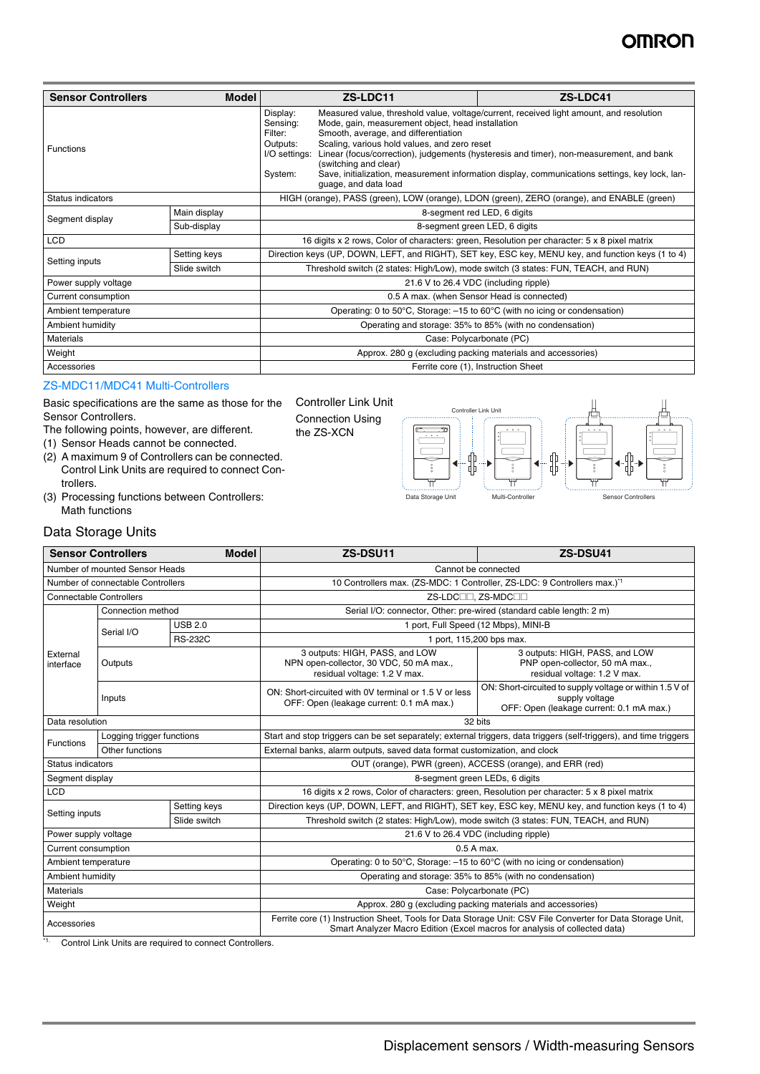# **OMROI**

| <b>Model</b><br><b>Sensor Controllers</b> |              | ZS-LDC11                                                                                                                                                                                                                                                                                                                                                                                                                                                                                                                                                      |  | ZS-LDC41 |
|-------------------------------------------|--------------|---------------------------------------------------------------------------------------------------------------------------------------------------------------------------------------------------------------------------------------------------------------------------------------------------------------------------------------------------------------------------------------------------------------------------------------------------------------------------------------------------------------------------------------------------------------|--|----------|
| <b>Functions</b>                          |              | Display:<br>Measured value, threshold value, voltage/current, received light amount, and resolution<br>Sensing:<br>Mode, gain, measurement object, head installation<br>Smooth, average, and differentiation<br>Filter:<br>Scaling, various hold values, and zero reset<br>Outputs:<br>Linear (focus/correction), judgements (hysteresis and timer), non-measurement, and bank<br>I/O settings:<br>(switching and clear)<br>Save, initialization, measurement information display, communications settings, key lock, lan-<br>System:<br>quage, and data load |  |          |
| Status indicators                         |              | HIGH (orange), PASS (green), LOW (orange), LDON (green), ZERO (orange), and ENABLE (green)                                                                                                                                                                                                                                                                                                                                                                                                                                                                    |  |          |
| Segment display                           | Main display | 8-segment red LED, 6 digits                                                                                                                                                                                                                                                                                                                                                                                                                                                                                                                                   |  |          |
|                                           | Sub-display  | 8-segment green LED, 6 digits                                                                                                                                                                                                                                                                                                                                                                                                                                                                                                                                 |  |          |
| <b>LCD</b>                                |              | 16 digits x 2 rows, Color of characters: green, Resolution per character: 5 x 8 pixel matrix                                                                                                                                                                                                                                                                                                                                                                                                                                                                  |  |          |
| Setting inputs                            | Setting keys | Direction keys (UP, DOWN, LEFT, and RIGHT), SET key, ESC key, MENU key, and function keys (1 to 4)                                                                                                                                                                                                                                                                                                                                                                                                                                                            |  |          |
|                                           | Slide switch | Threshold switch (2 states: High/Low), mode switch (3 states: FUN, TEACH, and RUN)                                                                                                                                                                                                                                                                                                                                                                                                                                                                            |  |          |
| Power supply voltage                      |              | 21.6 V to 26.4 VDC (including ripple)                                                                                                                                                                                                                                                                                                                                                                                                                                                                                                                         |  |          |
| Current consumption                       |              | 0.5 A max. (when Sensor Head is connected)                                                                                                                                                                                                                                                                                                                                                                                                                                                                                                                    |  |          |
| Ambient temperature                       |              | Operating: 0 to 50°C, Storage: -15 to 60°C (with no icing or condensation)                                                                                                                                                                                                                                                                                                                                                                                                                                                                                    |  |          |
| Ambient humidity                          |              | Operating and storage: 35% to 85% (with no condensation)                                                                                                                                                                                                                                                                                                                                                                                                                                                                                                      |  |          |
| <b>Materials</b>                          |              | Case: Polycarbonate (PC)                                                                                                                                                                                                                                                                                                                                                                                                                                                                                                                                      |  |          |
| Weight                                    |              | Approx. 280 g (excluding packing materials and accessories)                                                                                                                                                                                                                                                                                                                                                                                                                                                                                                   |  |          |
| Accessories                               |              | Ferrite core (1), Instruction Sheet                                                                                                                                                                                                                                                                                                                                                                                                                                                                                                                           |  |          |

the ZS-XCN

#### ZS-MDC11/MDC41 Multi-Controllers

Basic specifications are the same as those for the Sensor Controllers.

The following points, however, are different.

(1) Sensor Heads cannot be connected.

- (2) A maximum 9 of Controllers can be connected. Control Link Units are required to connect Controllers.
- (3) Processing functions between Controllers: Math functions



## Data Storage Units

|                                                                  | <b>Sensor Controllers</b> | <b>Model</b>   | ZS-DSU11                                                                                                                                                                                 | ZS-DSU41                                                                                                               |  |
|------------------------------------------------------------------|---------------------------|----------------|------------------------------------------------------------------------------------------------------------------------------------------------------------------------------------------|------------------------------------------------------------------------------------------------------------------------|--|
| Number of mounted Sensor Heads                                   |                           |                | Cannot be connected                                                                                                                                                                      |                                                                                                                        |  |
| Number of connectable Controllers                                |                           |                | 10 Controllers max. (ZS-MDC: 1 Controller, ZS-LDC: 9 Controllers max.) <sup>1</sup>                                                                                                      |                                                                                                                        |  |
| <b>Connectable Controllers</b>                                   |                           |                | ZS-LDC <sup>II</sup> . ZS-MDC <sup>II</sup>                                                                                                                                              |                                                                                                                        |  |
| Connection method                                                |                           |                | Serial I/O: connector, Other: pre-wired (standard cable length: 2 m)                                                                                                                     |                                                                                                                        |  |
|                                                                  | Serial I/O                | <b>USB 2.0</b> | 1 port, Full Speed (12 Mbps), MINI-B                                                                                                                                                     |                                                                                                                        |  |
|                                                                  |                           | <b>RS-232C</b> | 1 port, 115,200 bps max.                                                                                                                                                                 |                                                                                                                        |  |
| External<br>Outputs<br>interface                                 |                           |                | 3 outputs: HIGH, PASS, and LOW<br>NPN open-collector, 30 VDC, 50 mA max.,<br>residual voltage: 1.2 V max.                                                                                | 3 outputs: HIGH, PASS, and LOW<br>PNP open-collector, 50 mA max.,<br>residual voltage: 1.2 V max.                      |  |
|                                                                  | Inputs                    |                | ON: Short-circuited with 0V terminal or 1.5 V or less<br>OFF: Open (leakage current: 0.1 mA max.)                                                                                        | ON: Short-circuited to supply voltage or within 1.5 V of<br>supply voltage<br>OFF: Open (leakage current: 0.1 mA max.) |  |
| Data resolution                                                  |                           |                | 32 bits                                                                                                                                                                                  |                                                                                                                        |  |
| Logging trigger functions<br><b>Functions</b><br>Other functions |                           |                | Start and stop triggers can be set separately; external triggers, data triggers (self-triggers), and time triggers                                                                       |                                                                                                                        |  |
|                                                                  |                           |                | External banks, alarm outputs, saved data format customization, and clock                                                                                                                |                                                                                                                        |  |
| Status indicators                                                |                           |                | OUT (orange), PWR (green), ACCESS (orange), and ERR (red)                                                                                                                                |                                                                                                                        |  |
| Segment display                                                  |                           |                | 8-segment green LEDs, 6 digits                                                                                                                                                           |                                                                                                                        |  |
| <b>LCD</b>                                                       |                           |                | 16 digits x 2 rows, Color of characters: green, Resolution per character: 5 x 8 pixel matrix                                                                                             |                                                                                                                        |  |
| Setting keys<br>Setting inputs<br>Slide switch                   |                           |                | Direction keys (UP, DOWN, LEFT, and RIGHT), SET key, ESC key, MENU key, and function keys (1 to 4)                                                                                       |                                                                                                                        |  |
|                                                                  |                           |                | Threshold switch (2 states: High/Low), mode switch (3 states: FUN, TEACH, and RUN)                                                                                                       |                                                                                                                        |  |
| Power supply voltage                                             |                           |                | 21.6 V to 26.4 VDC (including ripple)                                                                                                                                                    |                                                                                                                        |  |
| Current consumption                                              |                           |                | 0.5 A max.                                                                                                                                                                               |                                                                                                                        |  |
| Ambient temperature                                              |                           |                | Operating: 0 to 50°C, Storage: -15 to 60°C (with no icing or condensation)                                                                                                               |                                                                                                                        |  |
| Ambient humidity                                                 |                           |                | Operating and storage: 35% to 85% (with no condensation)                                                                                                                                 |                                                                                                                        |  |
| <b>Materials</b>                                                 |                           |                | Case: Polycarbonate (PC)                                                                                                                                                                 |                                                                                                                        |  |
| Weight                                                           |                           |                | Approx. 280 q (excluding packing materials and accessories)                                                                                                                              |                                                                                                                        |  |
| Accessories                                                      |                           |                | Ferrite core (1) Instruction Sheet, Tools for Data Storage Unit: CSV File Converter for Data Storage Unit,<br>Smart Analyzer Macro Edition (Excel macros for analysis of collected data) |                                                                                                                        |  |

\*1. Control Link Units are required to connect Controllers.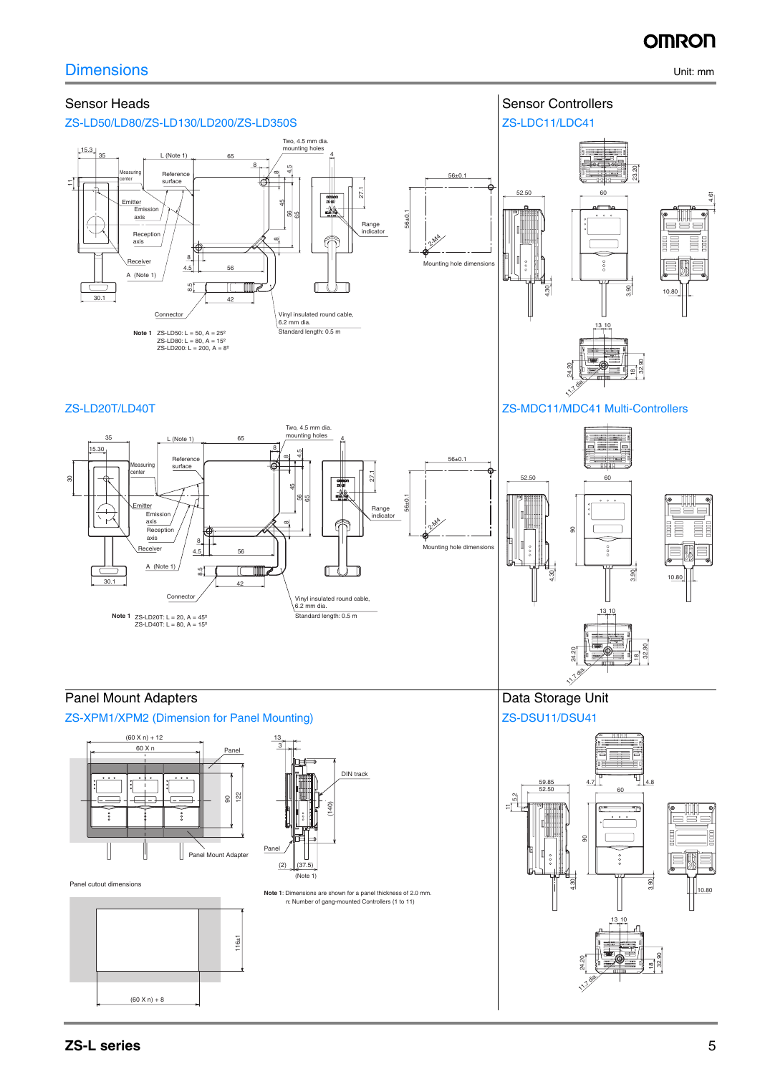